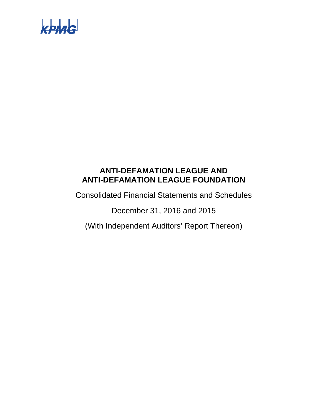

Consolidated Financial Statements and Schedules

December 31, 2016 and 2015

(With Independent Auditors' Report Thereon)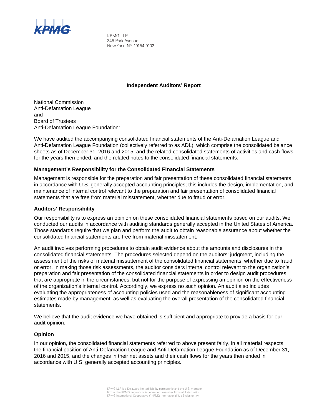

KPMG LLP 345 Park Avenue New York, NY 10154-0102

### **Independent Auditors' Report**

National Commission Anti-Defamation League and Board of Trustees Anti-Defamation League Foundation:

We have audited the accompanying consolidated financial statements of the Anti-Defamation League and Anti-Defamation League Foundation (collectively referred to as ADL), which comprise the consolidated balance sheets as of December 31, 2016 and 2015, and the related consolidated statements of activities and cash flows for the years then ended, and the related notes to the consolidated financial statements.

### **Management's Responsibility for the Consolidated Financial Statements**

Management is responsible for the preparation and fair presentation of these consolidated financial statements in accordance with U.S. generally accepted accounting principles; this includes the design, implementation, and maintenance of internal control relevant to the preparation and fair presentation of consolidated financial statements that are free from material misstatement, whether due to fraud or error.

### **Auditors' Responsibility**

Our responsibility is to express an opinion on these consolidated financial statements based on our audits. We conducted our audits in accordance with auditing standards generally accepted in the United States of America. Those standards require that we plan and perform the audit to obtain reasonable assurance about whether the consolidated financial statements are free from material misstatement.

An audit involves performing procedures to obtain audit evidence about the amounts and disclosures in the consolidated financial statements. The procedures selected depend on the auditors' judgment, including the assessment of the risks of material misstatement of the consolidated financial statements, whether due to fraud or error. In making those risk assessments, the auditor considers internal control relevant to the organization's preparation and fair presentation of the consolidated financial statements in order to design audit procedures that are appropriate in the circumstances, but not for the purpose of expressing an opinion on the effectiveness of the organization's internal control. Accordingly, we express no such opinion. An audit also includes evaluating the appropriateness of accounting policies used and the reasonableness of significant accounting estimates made by management, as well as evaluating the overall presentation of the consolidated financial statements.

We believe that the audit evidence we have obtained is sufficient and appropriate to provide a basis for our audit opinion.

### **Opinion**

In our opinion, the consolidated financial statements referred to above present fairly, in all material respects, the financial position of Anti-Defamation League and Anti-Defamation League Foundation as of December 31, 2016 and 2015, and the changes in their net assets and their cash flows for the years then ended in accordance with U.S. generally accepted accounting principles.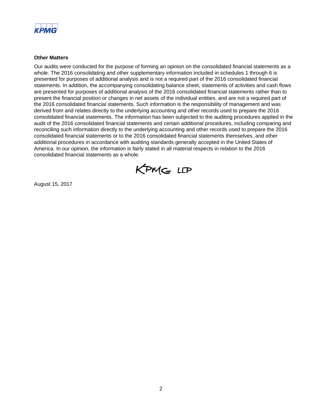

### **Other Matters**

Our audits were conducted for the purpose of forming an opinion on the consolidated financial statements as a whole. The 2016 consolidating and other supplementary information included in schedules 1 through 6 is presented for purposes of additional analysis and is not a required part of the 2016 consolidated financial statements. In addition, the accompanying consolidating balance sheet, statements of activities and cash flows are presented for purposes of additional analysis of the 2016 consolidated financial statements rather than to present the financial position or changes in net assets of the individual entities, and are not a required part of the 2016 consolidated financial statements. Such information is the responsibility of management and was derived from and relates directly to the underlying accounting and other records used to prepare the 2016 consolidated financial statements. The information has been subjected to the auditing procedures applied in the audit of the 2016 consolidated financial statements and certain additional procedures, including comparing and reconciling such information directly to the underlying accounting and other records used to prepare the 2016 consolidated financial statements or to the 2016 consolidated financial statements themselves, and other additional procedures in accordance with auditing standards generally accepted in the United States of America. In our opinion, the information is fairly stated in all material respects in relation to the 2016 consolidated financial statements as a whole.



August 15, 2017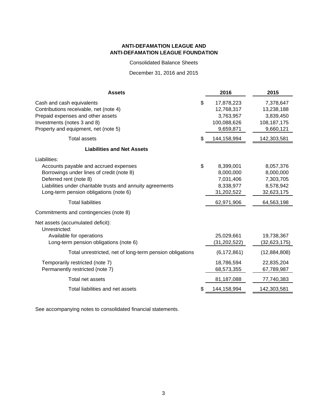Consolidated Balance Sheets

December 31, 2016 and 2015

| <b>Assets</b>                                                                                                                                                                                                                                                    | 2016                                                                               | 2015                                                                         |
|------------------------------------------------------------------------------------------------------------------------------------------------------------------------------------------------------------------------------------------------------------------|------------------------------------------------------------------------------------|------------------------------------------------------------------------------|
| Cash and cash equivalents<br>Contributions receivable, net (note 4)<br>Prepaid expenses and other assets<br>Investments (notes 3 and 8)<br>Property and equipment, net (note 5)                                                                                  | \$<br>17,878,223<br>12,768,317<br>3,763,957<br>100,088,626<br>9,659,871            | 7,378,647<br>13,238,188<br>3,839,450<br>108, 187, 175<br>9,660,121           |
| <b>Total assets</b>                                                                                                                                                                                                                                              | \$<br>144,158,994                                                                  | 142,303,581                                                                  |
| <b>Liabilities and Net Assets</b>                                                                                                                                                                                                                                |                                                                                    |                                                                              |
| Liabilities:<br>Accounts payable and accrued expenses<br>Borrowings under lines of credit (note 8)<br>Deferred rent (note 8)<br>Liabilities under charitable trusts and annuity agreements<br>Long-term pension obligations (note 6)<br><b>Total liabilities</b> | \$<br>8,399,001<br>8,000,000<br>7,031,406<br>8,338,977<br>31,202,522<br>62,971,906 | 8,057,376<br>8,000,000<br>7,303,705<br>8,578,942<br>32,623,175<br>64,563,198 |
| Commitments and contingencies (note 8)                                                                                                                                                                                                                           |                                                                                    |                                                                              |
| Net assets (accumulated deficit):<br>Unrestricted:<br>Available for operations<br>Long-term pension obligations (note 6)                                                                                                                                         | 25,029,661<br>(31, 202, 522)                                                       | 19,738,367<br>(32,623,175)                                                   |
| Total unrestricted, net of long-term pension obligations                                                                                                                                                                                                         | (6, 172, 861)                                                                      | (12,884,808)                                                                 |
| Temporarily restricted (note 7)<br>Permanently restricted (note 7)                                                                                                                                                                                               | 18,786,594<br>68,573,355                                                           | 22,835,204<br>67,789,987                                                     |
| Total net assets                                                                                                                                                                                                                                                 | 81,187,088                                                                         | 77,740,383                                                                   |
| Total liabilities and net assets                                                                                                                                                                                                                                 | \$<br>144,158,994                                                                  | 142,303,581                                                                  |

See accompanying notes to consolidated financial statements.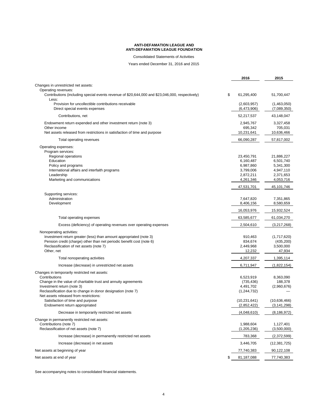Consolidated Statements of Activities

Years ended December 31, 2016 and 2015

|                                                                                                          | 2016                  | 2015                  |
|----------------------------------------------------------------------------------------------------------|-----------------------|-----------------------|
| Changes in unrestricted net assets:                                                                      |                       |                       |
| Operating revenues:                                                                                      |                       |                       |
| Contributions (including special events revenue of \$20,644,000 and \$23,046,000, respectively)<br>Less: | \$<br>61,295,400      | 51,700,447            |
| Provision for uncollectible contributions receivable                                                     | (2,603,957)           | (1,463,050)           |
| Direct special events expenses                                                                           | (6,473,906)           | (7,089,350)           |
| Contributions, net                                                                                       | 52,217,537            | 43,148,047            |
| Endowment return expended and other investment return (note 3)                                           | 2,945,767             | 3,327,458             |
| Other income<br>Net assets released from restrictions in satisfaction of time and purpose                | 695,342<br>10,231,641 | 705,031<br>10,636,466 |
| Total operating revenues                                                                                 | 66,090,287            | 57,817,002            |
| Operating expenses:                                                                                      |                       |                       |
| Program services:                                                                                        |                       |                       |
| Regional operations                                                                                      | 23,450,791            | 21,886,227            |
| Education                                                                                                | 6,160,487             | 6,501,740             |
| Policy and programs                                                                                      | 6,987,860             | 5,341,300             |
| International affairs and interfaith programs                                                            | 3,799,006             | 4,947,110             |
| Leadership                                                                                               | 2,872,211             | 2,371,653             |
| Marketing and communications                                                                             | 4,261,346             | 4,053,716             |
|                                                                                                          | 47,531,701            | 45,101,746            |
| Supporting services:                                                                                     |                       |                       |
| Administration                                                                                           | 7,647,820             | 7,351,865             |
| Development                                                                                              | 8,406,156             | 8,580,659             |
|                                                                                                          | 16,053,976            | 15,932,524            |
| Total operating expenses                                                                                 | 63,585,677            | 61,034,270            |
| Excess (deficiency) of operating revenues over operating expenses                                        | 2,504,610             | (3,217,268)           |
| Nonoperating activities:                                                                                 |                       |                       |
| Investment return greater (less) than amount appropriated (note 3)                                       | 910,463               | (1,717,620)           |
| Pension credit (charge) other than net periodic benefit cost (note 6)                                    | 834,674               | (435, 200)            |
| Reclassification of net assets (note 7)                                                                  | 2,449,968             | 3,500,000             |
| Other, net                                                                                               | 12,232                | 47,934                |
| Total nonoperating activities                                                                            | 4,207,337             | 1,395,114             |
| Increase (decrease) in unrestricted net assets                                                           | 6,711,947             | (1,822,154)           |
| Changes in temporarily restricted net assets:                                                            |                       |                       |
| Contributions                                                                                            | 6,523,919             | 8,363,090             |
| Change in the value of charitable trust and annuity agreements                                           | (735, 436)            | 188,378               |
| Investment return (note 3)                                                                               | 4,491,702             | (2,960,676)           |
| Reclassification due to change in donor designation (note 7)                                             | (1, 244, 732)         |                       |
| Net assets released from restrictions:                                                                   |                       |                       |
| Satisfaction of time and purpose                                                                         | (10, 231, 641)        | (10,636,466)          |
| Endowment return appropriated                                                                            | (2,852,422)           | (3, 141, 298)         |
| Decrease in temporarily restricted net assets                                                            | (4,048,610)           | (8, 186, 972)         |
| Change in permanently restricted net assets:                                                             |                       |                       |
| Contributions (note 7)                                                                                   | 1,988,604             | 1,127,401             |
| Reclassification of net assets (note 7)                                                                  | (1,205,236)           | (3,500,000)           |
| Increase (decrease) in permanently restricted net assets                                                 | 783,368               | (2,372,599)           |
| Increase (decrease) in net assets                                                                        | 3,446,705             | (12, 381, 725)        |
| Net assets at beginning of year                                                                          | 77,740,383            | 90,122,108            |
| Net assets at end of year                                                                                | \$<br>81,187,088      | 77,740,383            |

See accompanying notes to consolidated financial statements.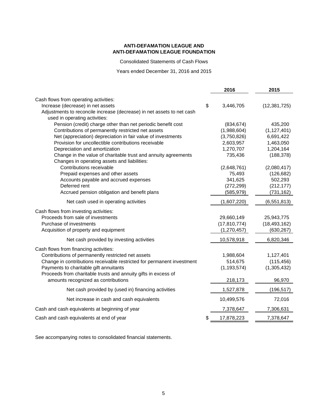Consolidated Statements of Cash Flows

Years ended December 31, 2016 and 2015

|                                                                                             | 2016             | 2015           |
|---------------------------------------------------------------------------------------------|------------------|----------------|
| Cash flows from operating activities:                                                       |                  |                |
| Increase (decrease) in net assets                                                           | \$<br>3,446,705  | (12, 381, 725) |
| Adjustments to reconcile increase (decrease) in net assets to net cash                      |                  |                |
| used in operating activities:                                                               |                  |                |
| Pension (credit) charge other than net periodic benefit cost                                | (834, 674)       | 435,200        |
| Contributions of permanently restricted net assets                                          | (1,988,604)      | (1, 127, 401)  |
| Net (appreciation) depreciation in fair value of investments                                | (3,750,826)      | 6,691,422      |
| Provision for uncollectible contributions receivable                                        | 2,603,957        | 1,463,050      |
| Depreciation and amortization                                                               | 1,270,707        | 1,204,164      |
| Change in the value of charitable trust and annuity agreements                              | 735,436          | (188, 378)     |
| Changes in operating assets and liabilities:                                                |                  |                |
| Contributions receivable                                                                    | (2,648,761)      | (2,080,417)    |
| Prepaid expenses and other assets                                                           | 75,493           | (126, 682)     |
| Accounts payable and accrued expenses                                                       | 341,625          | 502,293        |
| Deferred rent                                                                               | (272, 299)       | (212, 177)     |
| Accrued pension obligation and benefit plans                                                | (585, 979)       | (731, 162)     |
| Net cash used in operating activities                                                       | (1,607,220)      | (6, 551, 813)  |
| Cash flows from investing activities:                                                       |                  |                |
| Proceeds from sale of investments                                                           | 29,660,149       | 25,943,775     |
| Purchase of investments                                                                     | (17, 810, 774)   | (18, 493, 162) |
| Acquisition of property and equipment                                                       | (1, 270, 457)    | (630, 267)     |
| Net cash provided by investing activities                                                   | 10,578,918       | 6,820,346      |
|                                                                                             |                  |                |
| Cash flows from financing activities:<br>Contributions of permanently restricted net assets | 1,988,604        | 1,127,401      |
| Change in contributions receivable restricted for permanent investment                      | 514,675          | (115, 456)     |
| Payments to charitable gift annuitants                                                      | (1, 193, 574)    | (1,305,432)    |
| Proceeds from charitable trusts and annuity gifts in excess of                              |                  |                |
| amounts recognized as contributions                                                         | 218,173          | 96,970         |
|                                                                                             |                  |                |
| Net cash provided by (used in) financing activities                                         | 1,527,878        | (196, 517)     |
| Net increase in cash and cash equivalents                                                   | 10,499,576       | 72,016         |
| Cash and cash equivalents at beginning of year                                              | 7,378,647        | 7,306,631      |
| Cash and cash equivalents at end of year                                                    | \$<br>17,878,223 | 7,378,647      |

See accompanying notes to consolidated financial statements.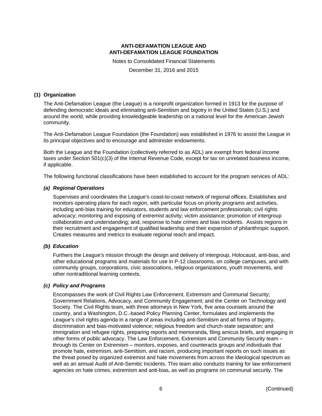Notes to Consolidated Financial Statements

December 31, 2016 and 2015

### **(1) Organization**

The Anti-Defamation League (the League) is a nonprofit organization formed in 1913 for the purpose of defending democratic ideals and eliminating anti-Semitism and bigotry in the United States (U.S.) and around the world, while providing knowledgeable leadership on a national level for the American Jewish community.

The Anti-Defamation League Foundation (the Foundation) was established in 1976 to assist the League in its principal objectives and to encourage and administer endowments.

Both the League and the Foundation (collectively referred to as ADL) are exempt from federal income taxes under Section 501(c)(3) of the Internal Revenue Code, except for tax on unrelated business income, if applicable.

The following functional classifications have been established to account for the program services of ADL:

### *(a) Regional Operations*

Supervises and coordinates the League's coast-to-coast network of regional offices. Establishes and monitors operating plans for each region, with particular focus on priority programs and activities, including anti-bias training for educators, students and law enforcement professionals; civil rights advocacy; monitoring and exposing of extremist activity; victim assistance; promotion of intergroup collaboration and understanding; and, response to hate crimes and bias incidents. Assists regions in their recruitment and engagement of qualified leadership and their expansion of philanthropic support. Creates measures and metrics to evaluate regional reach and impact.

### *(b) Education*

Furthers the League's mission through the design and delivery of intergroup, Holocaust, anti-bias, and other educational programs and materials for use in P-12 classrooms, on college campuses, and with community groups, corporations, civic associations, religious organizations, youth movements, and other nontraditional learning contexts.

### *(c) Policy and Programs*

Encompasses the work of Civil Rights Law Enforcement, Extremism and Communal Security; Government Relations, Advocacy, and Community Engagement; and the Center on Technology and Society. The Civil Rights team, with three attorneys in New York, five area counsels around the country, and a Washington, D.C.-based Policy Planning Center, formulates and implements the League's civil rights agenda in a range of areas including anti-Semitism and all forms of bigotry, discrimination and bias-motivated violence; religious freedom and church-state separation; and immigration and refugee rights, preparing reports and memoranda, filing amicus briefs, and engaging in other forms of public advocacy. The Law Enforcement, Extremism and Community Security team – through its Center on Extremism – monitors, exposes, and counteracts groups and individuals that promote hate, extremism, anti-Semitism, and racism, producing important reports on such issues as the threat posed by organized extremist and hate movements from across the ideological spectrum as well as an annual Audit of Anti-Semitic Incidents. This team also conducts training for law enforcement agencies on hate crimes, extremism and anti-bias, as well as programs on communal security. The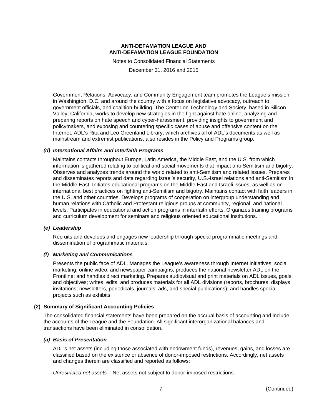Notes to Consolidated Financial Statements

December 31, 2016 and 2015

*G*overnment Relations, Advocacy, and Community Engagement team promotes the League's mission in Washington, D.C. and around the country with a focus on legislative advocacy, outreach to government officials, and coalition-building. The Center on Technology and Society, based in Silicon Valley, California, works to develop new strategies in the fight against hate online, analyzing and preparing reports on hate speech and cyber-harassment, providing insights to government and policymakers, and exposing and countering specific cases of abuse and offensive content on the Internet. ADL's Rita and Leo Greenland Library, which archives all of ADL's documents as well as mainstream and extremist publications, also resides in the Policy and Programs group.

### *(d) International Affairs and Interfaith Programs*

Maintains contacts throughout Europe, Latin America, the Middle East, and the U.S. from which information is gathered relating to political and social movements that impact anti-Semitism and bigotry. Observes and analyzes trends around the world related to anti-Semitism and related issues. Prepares and disseminates reports and data regarding Israel's security, U.S.-Israel relations and anti-Semitism in the Middle East. Initiates educational programs on the Middle East and Israeli issues, as well as on international best practices on fighting anti-Semitism and bigotry. Maintains contact with faith leaders in the U.S. and other countries. Develops programs of cooperation on intergroup understanding and human relations with Catholic and Protestant religious groups at community, regional, and national levels. Participates in educational and action programs in interfaith efforts. Organizes training programs and curriculum development for seminars and religious oriented educational institutions.

#### *(e) Leadership*

Recruits and develops and engages new leadership through special programmatic meetings and dissemination of programmatic materials.

### *(f) Marketing and Communications*

Presents the public face of ADL. Manages the League's awareness through Internet initiatives, social marketing, online video, and newspaper campaigns; produces the national newsletter ADL on the Frontline; and handles direct marketing. Prepares audiovisual and print materials on ADL issues, goals, and objectives; writes, edits, and produces materials for all ADL divisions (reports, brochures, displays, invitations, newsletters, periodicals, journals, ads, and special publications); and handles special projects such as exhibits.

### **(2) Summary of Significant Accounting Policies**

The consolidated financial statements have been prepared on the accrual basis of accounting and include the accounts of the League and the Foundation. All significant interorganizational balances and transactions have been eliminated in consolidation.

### *(a) Basis of Presentation*

ADL's net assets (including those associated with endowment funds), revenues, gains, and losses are classified based on the existence or absence of donor-imposed restrictions. Accordingly, net assets and changes therein are classified and reported as follows:

*Unrestricted net assets* – Net assets not subject to donor-imposed restrictions.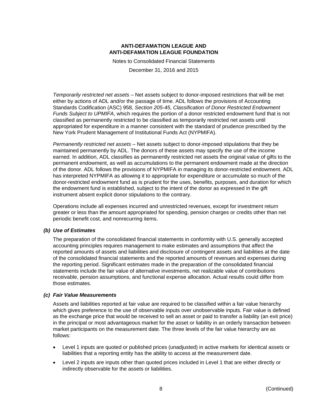Notes to Consolidated Financial Statements

December 31, 2016 and 2015

*Temporarily restricted net assets* – Net assets subject to donor-imposed restrictions that will be met either by actions of ADL and/or the passage of time. ADL follows the provisions of Accounting Standards Codification (ASC) 958, *Section 205-45*, *Classification of Donor Restricted Endowment Funds Subject to UPMIFA*, which requires the portion of a donor restricted endowment fund that is not classified as permanently restricted to be classified as temporarily restricted net assets until appropriated for expenditure in a manner consistent with the standard of prudence prescribed by the New York Prudent Management of Institutional Funds Act (NYPMIFA).

*Permanently restricted net assets* – Net assets subject to donor-imposed stipulations that they be maintained permanently by ADL. The donors of these assets may specify the use of the income earned. In addition, ADL classifies as permanently restricted net assets the original value of gifts to the permanent endowment, as well as accumulations to the permanent endowment made at the direction of the donor. ADL follows the provisions of NYPMIFA in managing its donor-restricted endowment. ADL has interpreted NYPMIFA as allowing it to appropriate for expenditure or accumulate so much of the donor-restricted endowment fund as is prudent for the uses, benefits, purposes, and duration for which the endowment fund is established, subject to the intent of the donor as expressed in the gift instrument absent explicit donor stipulations to the contrary.

Operations include all expenses incurred and unrestricted revenues, except for investment return greater or less than the amount appropriated for spending, pension charges or credits other than net periodic benefit cost, and nonrecurring items.

#### *(b) Use of Estimates*

The preparation of the consolidated financial statements in conformity with U.S. generally accepted accounting principles requires management to make estimates and assumptions that affect the reported amounts of assets and liabilities and disclosure of contingent assets and liabilities at the date of the consolidated financial statements and the reported amounts of revenues and expenses during the reporting period. Significant estimates made in the preparation of the consolidated financial statements include the fair value of alternative investments, net realizable value of contributions receivable, pension assumptions, and functional expense allocation. Actual results could differ from those estimates.

#### *(c) Fair Value Measurements*

Assets and liabilities reported at fair value are required to be classified within a fair value hierarchy which gives preference to the use of observable inputs over unobservable inputs. Fair value is defined as the exchange price that would be received to sell an asset or paid to transfer a liability (an exit price) in the principal or most advantageous market for the asset or liability in an orderly transaction between market participants on the measurement date. The three levels of the fair value hierarchy are as follows:

- Level 1 inputs are quoted or published prices (unadjusted) in active markets for identical assets or liabilities that a reporting entity has the ability to access at the measurement date.
- Level 2 inputs are inputs other than quoted prices included in Level 1 that are either directly or indirectly observable for the assets or liabilities.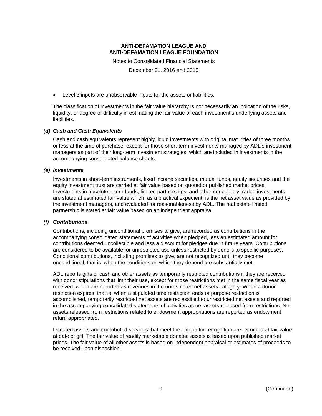Notes to Consolidated Financial Statements

December 31, 2016 and 2015

Level 3 inputs are unobservable inputs for the assets or liabilities.

The classification of investments in the fair value hierarchy is not necessarily an indication of the risks, liquidity, or degree of difficulty in estimating the fair value of each investment's underlying assets and liabilities.

#### *(d) Cash and Cash Equivalents*

Cash and cash equivalents represent highly liquid investments with original maturities of three months or less at the time of purchase, except for those short-term investments managed by ADL's investment managers as part of their long-term investment strategies, which are included in investments in the accompanying consolidated balance sheets.

#### *(e) Investments*

Investments in short-term instruments, fixed income securities, mutual funds, equity securities and the equity investment trust are carried at fair value based on quoted or published market prices. Investments in absolute return funds, limited partnerships, and other nonpublicly traded investments are stated at estimated fair value which, as a practical expedient, is the net asset value as provided by the investment managers, and evaluated for reasonableness by ADL. The real estate limited partnership is stated at fair value based on an independent appraisal.

### *(f) Contributions*

Contributions, including unconditional promises to give, are recorded as contributions in the accompanying consolidated statements of activities when pledged, less an estimated amount for contributions deemed uncollectible and less a discount for pledges due in future years. Contributions are considered to be available for unrestricted use unless restricted by donors to specific purposes. Conditional contributions, including promises to give, are not recognized until they become unconditional, that is, when the conditions on which they depend are substantially met.

ADL reports gifts of cash and other assets as temporarily restricted contributions if they are received with donor stipulations that limit their use, except for those restrictions met in the same fiscal year as received, which are reported as revenues in the unrestricted net assets category. When a donor restriction expires, that is, when a stipulated time restriction ends or purpose restriction is accomplished, temporarily restricted net assets are reclassified to unrestricted net assets and reported in the accompanying consolidated statements of activities as net assets released from restrictions. Net assets released from restrictions related to endowment appropriations are reported as endowment return appropriated.

Donated assets and contributed services that meet the criteria for recognition are recorded at fair value at date of gift. The fair value of readily marketable donated assets is based upon published market prices. The fair value of all other assets is based on independent appraisal or estimates of proceeds to be received upon disposition.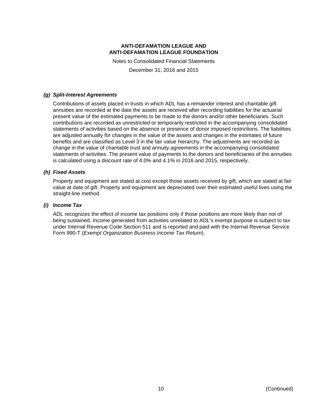Notes to Consolidated Financial Statements

December 31, 2016 and 2015

### *(g) Split-Interest Agreements*

Contributions of assets placed in trusts in which ADL has a remainder interest and charitable gift annuities are recorded at the date the assets are received after recording liabilities for the actuarial present value of the estimated payments to be made to the donors and/or other beneficiaries. Such contributions are recorded as unrestricted or temporarily restricted in the accompanying consolidated statements of activities based on the absence or presence of donor imposed restrictions. The liabilities are adjusted annually for changes in the value of the assets and changes in the estimates of future benefits and are classified as Level 3 in the fair value hierarchy. The adjustments are recorded as change in the value of charitable trust and annuity agreements in the accompanying consolidated statements of activities. The present value of payments to the donors and beneficiaries of the annuities is calculated using a discount rate of 4.0% and 4.1% in 2016 and 2015, respectively.

### *(h) Fixed Assets*

Property and equipment are stated at cost except those assets received by gift, which are stated at fair value at date of gift. Property and equipment are depreciated over their estimated useful lives using the straight-line method.

### *(i) Income Tax*

ADL recognizes the effect of income tax positions only if those positions are more likely than not of being sustained. Income generated from activities unrelated to ADL's exempt purpose is subject to tax under Internal Revenue Code Section 511 and is reported and paid with the Internal Revenue Service Form 990-T (*Exempt Organization Business Income Tax Return*).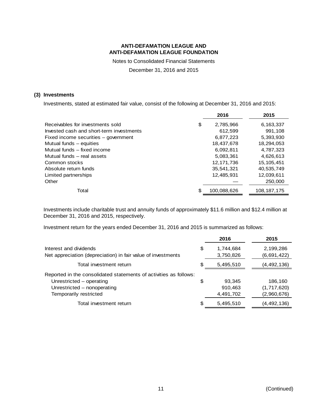Notes to Consolidated Financial Statements

December 31, 2016 and 2015

### **(3) Investments**

Investments, stated at estimated fair value, consist of the following at December 31, 2016 and 2015:

|                                          | 2016        | 2015          |
|------------------------------------------|-------------|---------------|
| Receivables for investments sold<br>\$   | 2,785,966   | 6,163,337     |
| Invested cash and short-term investments | 612,599     | 991,108       |
| Fixed income securities - government     | 6,877,223   | 5,393,930     |
| Mutual funds - equities                  | 18,437,678  | 18,294,053    |
| Mutual funds - fixed income              | 6,092,811   | 4,787,323     |
| Mutual funds - real assets               | 5,083,361   | 4,626,613     |
| Common stocks                            | 12,171,736  | 15, 105, 451  |
| Absolute return funds                    | 35,541,321  | 40,535,749    |
| Limited partnerships                     | 12,485,931  | 12,039,611    |
| Other                                    |             | 250,000       |
| Total<br>S                               | 100,088,626 | 108, 187, 175 |

Investments include charitable trust and annuity funds of approximately \$11.6 million and \$12.4 million at December 31, 2016 and 2015, respectively.

Investment return for the years ended December 31, 2016 and 2015 is summarized as follows:

|                                                                                                                                                        |    | 2016                           | 2015                                  |
|--------------------------------------------------------------------------------------------------------------------------------------------------------|----|--------------------------------|---------------------------------------|
| Interest and dividends<br>Net appreciation (depreciation) in fair value of investments                                                                 | \$ | 1,744,684<br>3,750,826         | 2,199,286<br>(6,691,422)              |
| Total investment return                                                                                                                                | S  | 5,495,510                      | (4, 492, 136)                         |
| Reported in the consolidated statements of activities as follows:<br>Unrestricted – operating<br>Unrestricted - nonoperating<br>Temporarily restricted | \$ | 93.345<br>910,463<br>4,491,702 | 186,160<br>(1,717,620)<br>(2,960,676) |
| Total investment return                                                                                                                                | S  | 5,495,510                      | (4, 492, 136)                         |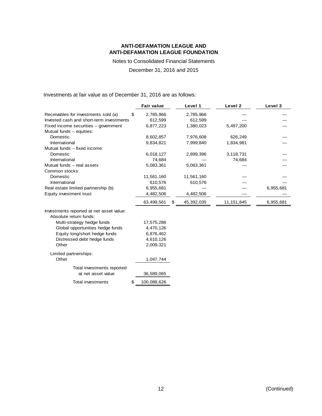Notes to Consolidated Financial Statements

### December 31, 2016 and 2015

Investments at fair value as of December 31, 2016 are as follows:

|                                          | <b>Fair value</b> | Level 1          | Level 2    | Level 3   |
|------------------------------------------|-------------------|------------------|------------|-----------|
| Receivables for investments sold (a)     | 2,785,966<br>S    | 2,785,966        |            |           |
| Invested cash and short-term investments | 612,599           | 612,599          |            |           |
| Fixed income securities - government     | 6,877,223         | 1,380,023        | 5,497,200  |           |
| Mutual funds - equities:                 |                   |                  |            |           |
| Domestic                                 | 8,602,857         | 7,976,608        | 626,249    |           |
| International                            | 9,834,821         | 7,999,840        | 1,834,981  |           |
| Mutual funds - fixed income:             |                   |                  |            |           |
| Domestic                                 | 6,018,127         | 2,899,396        | 3,118,731  |           |
| International                            | 74,684            |                  | 74,684     |           |
| Mutual funds - real assets               | 5,083,361         | 5,083,361        |            |           |
| Common stocks:                           |                   |                  |            |           |
| Domestic                                 | 11,561,160        | 11,561,160       |            |           |
| International                            | 610,576           | 610,576          |            |           |
| Real estate limited partnership (b)      | 6,955,681         |                  |            | 6,955,681 |
| Equity investment trust                  | 4,482,506         | 4,482,506        |            |           |
|                                          | 63,499,561        | 45,392,035<br>S. | 11,151,845 | 6,955,681 |
| Investments reported at net asset value: |                   |                  |            |           |
| Absolute return funds:                   |                   |                  |            |           |
| Multi-strategy hedge funds               | 17,575,286        |                  |            |           |
| Global opportunities hedge funds         | 4,470,126         |                  |            |           |
| Equity long/short hedge funds            | 6,876,462         |                  |            |           |
| Distressed debt hedge funds              | 4,610,126         |                  |            |           |
| Other                                    | 2,009,321         |                  |            |           |
|                                          |                   |                  |            |           |
| Limited partnerships:                    |                   |                  |            |           |
| Other                                    | 1,047,744         |                  |            |           |
| Total investments reported               |                   |                  |            |           |
| at net asset value                       | 36,589,065        |                  |            |           |
| <b>Total investments</b>                 | \$<br>100,088,626 |                  |            |           |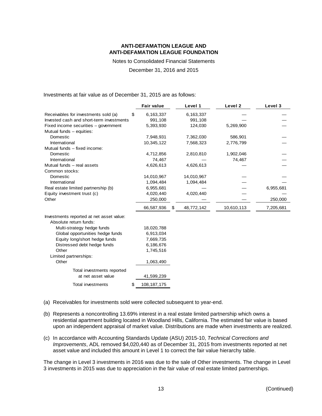Notes to Consolidated Financial Statements

December 31, 2016 and 2015

Investments at fair value as of December 31, 2015 are as follows:

|                                          | <b>Fair value</b>   | Level 1          | Level 2    | Level 3   |
|------------------------------------------|---------------------|------------------|------------|-----------|
| Receivables for investments sold (a)     | \$<br>6,163,337     | 6,163,337        |            |           |
| Invested cash and short-term investments | 991,108             | 991,108          |            |           |
| Fixed income securities - government     | 5,393,930           | 124,030          | 5,269,900  |           |
| Mutual funds - equities:                 |                     |                  |            |           |
| Domestic                                 | 7,948,931           | 7,362,030        | 586,901    |           |
| International                            | 10,345,122          | 7,568,323        | 2,776,799  |           |
| Mutual funds - fixed income:             |                     |                  |            |           |
| Domestic                                 | 4,712,856           | 2,810,810        | 1,902,046  |           |
| International                            | 74,467              |                  | 74,467     |           |
| Mutual funds - real assets               | 4,626,613           | 4,626,613        |            |           |
| Common stocks:                           |                     |                  |            |           |
| Domestic                                 | 14,010,967          | 14,010,967       |            |           |
| International                            | 1,094,484           | 1,094,484        |            |           |
| Real estate limited partnership (b)      | 6,955,681           |                  |            | 6,955,681 |
| Equity investment trust (c)              | 4,020,440           | 4,020,440        |            |           |
| Other                                    | 250,000             |                  |            | 250,000   |
|                                          | 66,587,936          | \$<br>48,772,142 | 10,610,113 | 7,205,681 |
| Investments reported at net asset value: |                     |                  |            |           |
| Absolute return funds:                   |                     |                  |            |           |
| Multi-strategy hedge funds               | 18,020,788          |                  |            |           |
| Global opportunities hedge funds         | 6,913,034           |                  |            |           |
| Equity long/short hedge funds            | 7,669,735           |                  |            |           |
| Distressed debt hedge funds              | 6,186,676           |                  |            |           |
| Other                                    | 1,745,516           |                  |            |           |
| Limited partnerships:                    |                     |                  |            |           |
| Other                                    | 1,063,490           |                  |            |           |
| Total investments reported               |                     |                  |            |           |
| at net asset value                       | 41,599,239          |                  |            |           |
| Total investments                        | \$<br>108, 187, 175 |                  |            |           |

- (a) Receivables for investments sold were collected subsequent to year-end.
- (b) Represents a noncontrolling 13.69% interest in a real estate limited partnership which owns a residential apartment building located in Woodland Hills, California. The estimated fair value is based upon an independent appraisal of market value. Distributions are made when investments are realized.
- (c) In accordance with Accounting Standards Update (ASU) 2015-10, *Technical Corrections and Improvements*, ADL removed \$4,020,440 as of December 31, 2015 from investments reported at net asset value and included this amount in Level 1 to correct the fair value hierarchy table.

The change in Level 3 investments in 2016 was due to the sale of Other investments. The change in Level 3 investments in 2015 was due to appreciation in the fair value of real estate limited partnerships.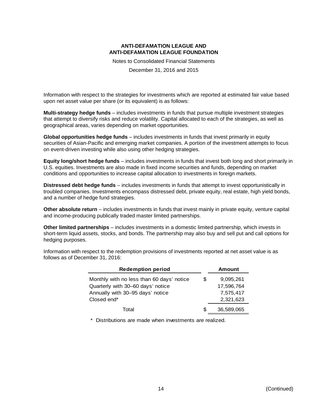Notes to Consolidated Financial Statements

December 31, 2016 and 2015

Information with respect to the strategies for investments which are reported at estimated fair value based upon net asset value per share (or its equivalent) is as follows:

**Multi-strategy hedge funds** – includes investments in funds that pursue multiple investment strategies that attempt to diversify risks and reduce volatility. Capital allocated to each of the strategies, as well as geographical areas, varies depending on market opportunities.

**Global opportunities hedge funds** – includes investments in funds that invest primarily in equity securities of Asian-Pacific and emerging market companies. A portion of the investment attempts to focus on event-driven investing while also using other hedging strategies.

**Equity long/short hedge funds** – includes investments in funds that invest both long and short primarily in U.S. equities. Investments are also made in fixed income securities and funds, depending on market conditions and opportunities to increase capital allocation to investments in foreign markets.

**Distressed debt hedge funds** – includes investments in funds that attempt to invest opportunistically in troubled companies. Investments encompass distressed debt, private equity, real estate, high yield bonds, and a number of hedge fund strategies.

**Other absolute return** – includes investments in funds that invest mainly in private equity, venture capital and income-producing publically traded master limited partnerships.

**Other limited partnerships** – includes investments in a domestic limited partnership, which invests in short-term liquid assets, stocks, and bonds. The partnership may also buy and sell put and call options for hedging purposes.

Information with respect to the redemption provisions of investments reported at net asset value is as follows as of December 31, 2016:

| <b>Redemption period</b>                  |   | <b>Amount</b> |
|-------------------------------------------|---|---------------|
| Monthly with no less than 60 days' notice | S | 9,095,261     |
| Quarterly with 30-60 days' notice         |   | 17,596,764    |
| Annually with 30-95 days' notice          |   | 7,575,417     |
| Closed end*                               |   | 2,321,623     |
| Total                                     | S | 36,589,065    |

\* Distributions are made when investments are realized.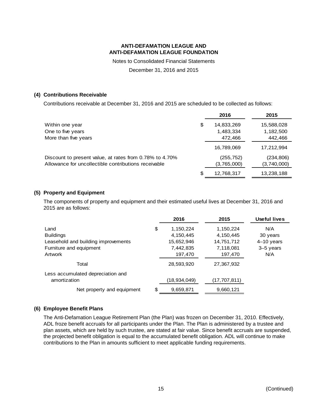Notes to Consolidated Financial Statements

December 31, 2016 and 2015

### **(4) Contributions Receivable**

Contributions receivable at December 31, 2016 and 2015 are scheduled to be collected as follows:

|                                                         |    | 2016        | 2015        |
|---------------------------------------------------------|----|-------------|-------------|
| Within one year                                         | \$ | 14,833,269  | 15,588,028  |
| One to five years                                       |    | 1,483,334   | 1,182,500   |
| More than five years                                    |    | 472,466     | 442,466     |
|                                                         |    | 16,789,069  | 17,212,994  |
| Discount to present value, at rates from 0.78% to 4.70% |    | (255, 752)  | (234, 806)  |
| Allowance for uncollectible contributions receivable    |    | (3,765,000) | (3,740,000) |
|                                                         | S  | 12,768,317  | 13,238,188  |

### **(5) Property and Equipment**

The components of property and equipment and their estimated useful lives at December 31, 2016 and 2015 are as follows:

|                                     | 2016            | 2015         | Useful lives |
|-------------------------------------|-----------------|--------------|--------------|
| Land                                | \$<br>1,150,224 | 1,150,224    | N/A          |
| <b>Buildings</b>                    | 4,150,445       | 4,150,445    | 30 years     |
| Leasehold and building improvements | 15,652,946      | 14,751,712   | $4-10$ years |
| Furniture and equipment             | 7,442,835       | 7,118,081    | 3-5 years    |
| Artwork                             | 197,470         | 197,470      | N/A          |
| Total                               | 28,593,920      | 27.367.932   |              |
| Less accumulated depreciation and   |                 |              |              |
| amortization                        | (18,934,049)    | (17,707,811) |              |
| Net property and equipment          | \$<br>9,659,871 | 9,660,121    |              |

### **(6) Employee Benefit Plans**

The Anti-Defamation League Retirement Plan (the Plan) was frozen on December 31, 2010. Effectively, ADL froze benefit accruals for all participants under the Plan. The Plan is administered by a trustee and plan assets, which are held by such trustee, are stated at fair value. Since benefit accruals are suspended, the projected benefit obligation is equal to the accumulated benefit obligation. ADL will continue to make contributions to the Plan in amounts sufficient to meet applicable funding requirements.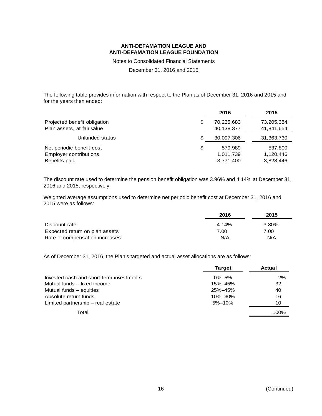Notes to Consolidated Financial Statements

December 31, 2016 and 2015

The following table provides information with respect to the Plan as of December 31, 2016 and 2015 and for the years then ended:

|                               |    | 2016       | 2015       |
|-------------------------------|----|------------|------------|
| Projected benefit obligation  | \$ | 70,235,683 | 73,205,384 |
| Plan assets, at fair value    |    | 40,138,377 | 41,841,654 |
| Unfunded status               | S  | 30,097,306 | 31,363,730 |
| Net periodic benefit cost     | \$ | 579,989    | 537,800    |
| <b>Employer contributions</b> |    | 1,011,739  | 1,120,446  |
| Benefits paid                 |    | 3,771,400  | 3,828,446  |

The discount rate used to determine the pension benefit obligation was 3.96% and 4.14% at December 31, 2016 and 2015, respectively.

Weighted average assumptions used to determine net periodic benefit cost at December 31, 2016 and 2015 were as follows:

|                                | 2016  | 2015  |
|--------------------------------|-------|-------|
| Discount rate                  | 4.14% | 3.80% |
| Expected return on plan assets | 7.00  | 7.00  |
| Rate of compensation increases | N/A   | N/A   |

As of December 31, 2016, the Plan's targeted and actual asset allocations are as follows:

|                                          | <b>Target</b> | Actual |
|------------------------------------------|---------------|--------|
| Invested cash and short-term investments | $0\% - 5\%$   | 2%     |
| Mutual funds – fixed income              | 15%-45%       | 32     |
| Mutual funds – equities                  | 25%-45%       | 40     |
| Absolute return funds                    | 10%-30%       | 16     |
| Limited partnership – real estate        | $5% - 10%$    | 10     |
| Total                                    |               | 100%   |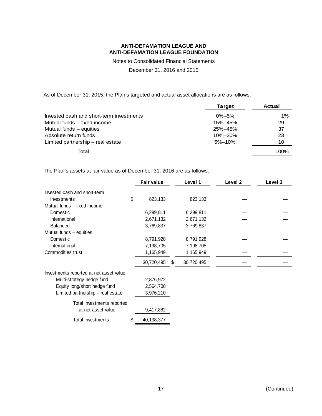Notes to Consolidated Financial Statements

December 31, 2016 and 2015

As of December 31, 2015, the Plan's targeted and actual asset allocations are as follows:

|                                          | <b>Target</b> | <b>Actual</b> |
|------------------------------------------|---------------|---------------|
| Invested cash and short-term investments | $0\% - 5\%$   | $1\%$         |
| Mutual funds – fixed income              | 15%-45%       | 29            |
| Mutual funds – equities                  | 25%-45%       | 37            |
| Absolute return funds                    | $10\% - 30\%$ | 23            |
| Limited partnership – real estate        | $5% - 10%$    | 10            |
| Total                                    |               | 100%          |

The Plan's assets at fair value as of December 31, 2016 are as follows:

|                                          | <b>Fair value</b> |   | Level 1    | Level 2 | Level 3 |
|------------------------------------------|-------------------|---|------------|---------|---------|
| Invested cash and short-term             |                   |   |            |         |         |
| investments                              | \$<br>823,133     |   | 823,133    |         |         |
| Mutual funds - fixed income:             |                   |   |            |         |         |
| Domestic                                 | 6,299,811         |   | 6,299,811  |         |         |
| International                            | 2,671,132         |   | 2,671,132  |         |         |
| <b>Balanced</b>                          | 3,769,837         |   | 3,769,837  |         |         |
| Mutual funds - equities:                 |                   |   |            |         |         |
| Domestic                                 | 8,791,928         |   | 8,791,928  |         |         |
| International                            | 7,198,705         |   | 7,198,705  |         |         |
| Commodities trust                        | 1,165,949         |   | 1,165,949  |         |         |
|                                          | 30,720,495        | S | 30,720,495 |         |         |
| Investments reported at net asset value: |                   |   |            |         |         |
| Multi-strategy hedge fund                | 2,876,972         |   |            |         |         |
| Equity long/short hedge fund             | 2,564,700         |   |            |         |         |
| Limited partnership - real estate        | 3,976,210         |   |            |         |         |
| Total investments reported               |                   |   |            |         |         |
| at net asset value                       | 9,417,882         |   |            |         |         |
| Total investments                        | \$<br>40,138,377  |   |            |         |         |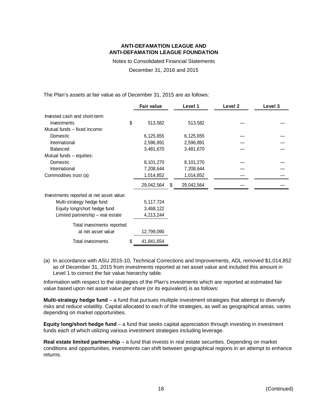Notes to Consolidated Financial Statements

December 31, 2016 and 2015

The Plan's assets at fair value as of December 31, 2015 are as follows:

|                                          | <b>Fair value</b> |   | Level 1    | Level <sub>2</sub> | Level 3 |
|------------------------------------------|-------------------|---|------------|--------------------|---------|
| Invested cash and short-term             |                   |   |            |                    |         |
| investments                              | \$<br>513,582     |   | 513,582    |                    |         |
| Mutual funds – fixed income:             |                   |   |            |                    |         |
| Domestic                                 | 6,125,655         |   | 6,125,655  |                    |         |
| International                            | 2,596,891         |   | 2,596,891  |                    |         |
| <b>Balanced</b>                          | 3,481,670         |   | 3,481,670  |                    |         |
| Mutual funds - equities:                 |                   |   |            |                    |         |
| Domestic                                 | 8,101,270         |   | 8,101,270  |                    |         |
| International                            | 7,208,644         |   | 7,208,644  |                    |         |
| Commodities trust (a)                    | 1,014,852         |   | 1,014,852  |                    |         |
|                                          | 29,042,564        | S | 29,042,564 |                    |         |
| Investments reported at net asset value: |                   |   |            |                    |         |
| Multi-strategy hedge fund                | 5,117,724         |   |            |                    |         |
| Equity long/short hedge fund             | 3,468,122         |   |            |                    |         |
| Limited partnership - real estate        | 4,213,244         |   |            |                    |         |
| Total investments reported               |                   |   |            |                    |         |
| at net asset value                       | 12,799,090        |   |            |                    |         |
| Total investments                        | \$<br>41,841,654  |   |            |                    |         |

(a) In accordance with ASU 2015-10, Technical Corrections and Improvements, ADL removed \$1,014,852 as of December 31, 2015 from investments reported at net asset value and included this amount in Level 1 to correct the fair value hierarchy table.

Information with respect to the strategies of the Plan's investments which are reported at estimated fair value based upon net asset value per share (or its equivalent) is as follows:

**Multi-strategy hedge fund** – a fund that pursues multiple investment strategies that attempt to diversify risks and reduce volatility. Capital allocated to each of the strategies, as well as geographical areas, varies depending on market opportunities.

**Equity long/short hedge fund** – a fund that seeks capital appreciation through investing in investment funds each of which utilizing various investment strategies including leverage.

**Real estate limited partnership** – a fund that invests in real estate securities. Depending on market conditions and opportunities, investments can shift between geographical regions in an attempt to enhance returns.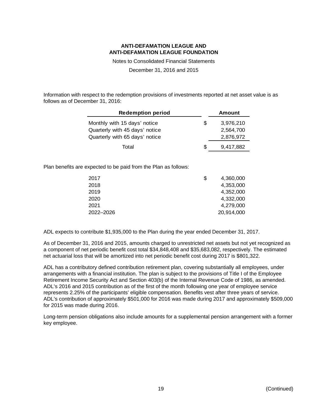Notes to Consolidated Financial Statements

December 31, 2016 and 2015

Information with respect to the redemption provisions of investments reported at net asset value is as follows as of December 31, 2016:

| <b>Redemption period</b>                                       | Amount                       |
|----------------------------------------------------------------|------------------------------|
| Monthly with 15 days' notice<br>Quarterly with 45 days' notice | \$<br>3,976,210<br>2,564,700 |
| Quarterly with 65 days' notice                                 | 2,876,972                    |
| Total                                                          | \$<br>9,417,882              |

Plan benefits are expected to be paid from the Plan as follows:

| 2017      | \$<br>4,360,000 |
|-----------|-----------------|
| 2018      | 4,353,000       |
| 2019      | 4,352,000       |
| 2020      | 4,332,000       |
| 2021      | 4,279,000       |
| 2022-2026 | 20,914,000      |

ADL expects to contribute \$1,935,000 to the Plan during the year ended December 31, 2017.

As of December 31, 2016 and 2015, amounts charged to unrestricted net assets but not yet recognized as a component of net periodic benefit cost total \$34,848,408 and \$35,683,082, respectively. The estimated net actuarial loss that will be amortized into net periodic benefit cost during 2017 is \$801,322.

ADL has a contributory defined contribution retirement plan, covering substantially all employees, under arrangements with a financial institution. The plan is subject to the provisions of Title I of the Employee Retirement Income Security Act and Section 403(b) of the Internal Revenue Code of 1986, as amended. ADL's 2016 and 2015 contribution as of the first of the month following one year of employee service represents 2.25% of the participants' eligible compensation. Benefits vest after three years of service. ADL's contribution of approximately \$501,000 for 2016 was made during 2017 and approximately \$509,000 for 2015 was made during 2016.

Long-term pension obligations also include amounts for a supplemental pension arrangement with a former key employee.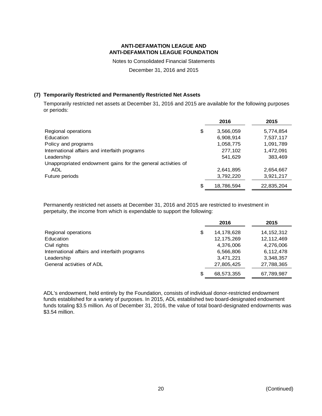Notes to Consolidated Financial Statements

December 31, 2016 and 2015

### **(7) Temporarily Restricted and Permanently Restricted Net Assets**

Temporarily restricted net assets at December 31, 2016 and 2015 are available for the following purposes or periods:

|                                                              | 2016             | 2015       |
|--------------------------------------------------------------|------------------|------------|
| Regional operations                                          | \$<br>3,566,059  | 5,774,854  |
| Education                                                    | 6,908,914        | 7,537,117  |
| Policy and programs                                          | 1,058,775        | 1,091,789  |
| International affairs and interfaith programs                | 277,102          | 1,472,091  |
| Leadership                                                   | 541,629          | 383,469    |
| Unappropriated endowment gains for the general activities of |                  |            |
| ADL.                                                         | 2,641,895        | 2,654,667  |
| Future periods                                               | 3,792,220        | 3,921,217  |
|                                                              | \$<br>18,786,594 | 22,835,204 |

Permanently restricted net assets at December 31, 2016 and 2015 are restricted to investment in perpetuity, the income from which is expendable to support the following:

|                                               |    | 2016         | 2015         |
|-----------------------------------------------|----|--------------|--------------|
| Regional operations                           | \$ | 14,178,628   | 14, 152, 312 |
| Education                                     |    | 12, 175, 269 | 12,112,469   |
| Civil rights                                  |    | 4,376,006    | 4,276,006    |
| International affairs and interfaith programs |    | 6,566,806    | 6,112,478    |
| Leadership                                    |    | 3,471,221    | 3,348,357    |
| General activities of ADL                     |    | 27,805,425   | 27,788,365   |
|                                               | S  | 68,573,355   | 67,789,987   |

ADL's endowment, held entirely by the Foundation, consists of individual donor-restricted endowment funds established for a variety of purposes. In 2015, ADL established two board-designated endowment funds totaling \$3.5 million. As of December 31, 2016, the value of total board-designated endowments was \$3.54 million.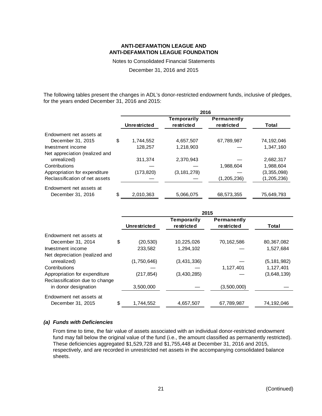Notes to Consolidated Financial Statements

December 31, 2016 and 2015

The following tables present the changes in ADL's donor-restricted endowment funds, inclusive of pledges, for the years ended December 31, 2016 and 2015:

|                                | 2016                |                    |                    |               |  |  |
|--------------------------------|---------------------|--------------------|--------------------|---------------|--|--|
|                                |                     | <b>Temporarily</b> | <b>Permanently</b> |               |  |  |
|                                | <b>Unrestricted</b> | restricted         | restricted         | Total         |  |  |
| Endowment net assets at        |                     |                    |                    |               |  |  |
| December 31, 2015              | \$<br>1.744.552     | 4,657,507          | 67,789,987         | 74,192,046    |  |  |
| Investment income              | 128.257             | 1.218.903          |                    | 1.347.160     |  |  |
| Net appreciation (realized and |                     |                    |                    |               |  |  |
| unrealized)                    | 311,374             | 2,370,943          |                    | 2,682,317     |  |  |
| Contributions                  |                     |                    | 1,988,604          | 1,988,604     |  |  |
| Appropriation for expenditure  | (173, 820)          | (3, 181, 278)      |                    | (3,355,098)   |  |  |
| Reclassification of net assets |                     |                    | (1,205,236)        | (1, 205, 236) |  |  |
| Endowment net assets at        |                     |                    |                    |               |  |  |
| December 31, 2016              | \$<br>2,010,363     | 5,066,075          | 68,573,355         | 75,649,793    |  |  |

|                                | 2015            |                                  |                                  |               |  |  |
|--------------------------------|-----------------|----------------------------------|----------------------------------|---------------|--|--|
|                                | Unrestricted    | <b>Temporarily</b><br>restricted | <b>Permanently</b><br>restricted | Total         |  |  |
| Endowment net assets at        |                 |                                  |                                  |               |  |  |
| December 31, 2014              | \$<br>(20, 530) | 10,225,026                       | 70,162,586                       | 80,367,082    |  |  |
| Investment income              | 233,582         | 1,294,102                        |                                  | 1,527,684     |  |  |
| Net depreciation (realized and |                 |                                  |                                  |               |  |  |
| unrealized)                    | (1,750,646)     | (3,431,336)                      |                                  | (5, 181, 982) |  |  |
| Contributions                  |                 |                                  | 1,127,401                        | 1,127,401     |  |  |
| Appropriation for expenditure  | (217, 854)      | (3,430,285)                      |                                  | (3,648,139)   |  |  |
| Reclassification due to change |                 |                                  |                                  |               |  |  |
| in donor designation           | 3,500,000       |                                  | (3,500,000)                      |               |  |  |
| Endowment net assets at        |                 |                                  |                                  |               |  |  |
| December 31, 2015              | \$<br>1,744,552 | 4,657,507                        | 67,789,987                       | 74,192,046    |  |  |

#### *(a) Funds with Deficiencies*

From time to time, the fair value of assets associated with an individual donor-restricted endowment fund may fall below the original value of the fund (i.e., the amount classified as permanently restricted). These deficiencies aggregated \$1,529,728 and \$1,755,448 at December 31, 2016 and 2015, respectively, and are recorded in unrestricted net assets in the accompanying consolidated balance sheets.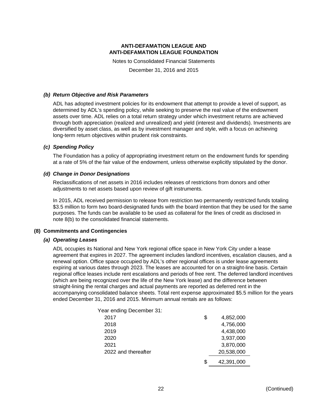Notes to Consolidated Financial Statements

December 31, 2016 and 2015

#### *(b) Return Objective and Risk Parameters*

ADL has adopted investment policies for its endowment that attempt to provide a level of support, as determined by ADL's spending policy, while seeking to preserve the real value of the endowment assets over time. ADL relies on a total return strategy under which investment returns are achieved through both appreciation (realized and unrealized) and yield (interest and dividends). Investments are diversified by asset class, as well as by investment manager and style, with a focus on achieving long-term return objectives within prudent risk constraints.

### *(c) Spending Policy*

The Foundation has a policy of appropriating investment return on the endowment funds for spending at a rate of 5% of the fair value of the endowment, unless otherwise explicitly stipulated by the donor.

#### *(d) Change in Donor Designations*

Reclassifications of net assets in 2016 includes releases of restrictions from donors and other adjustments to net assets based upon review of gift instruments.

In 2015, ADL received permission to release from restriction two permanently restricted funds totaling \$3.5 million to form two board-designated funds with the board intention that they be used for the same purposes. The funds can be available to be used as collateral for the lines of credit as disclosed in note 8(b) to the consolidated financial statements.

### **(8) Commitments and Contingencies**

#### *(a) Operating Leases*

ADL occupies its National and New York regional office space in New York City under a lease agreement that expires in 2027. The agreement includes landlord incentives, escalation clauses, and a renewal option. Office space occupied by ADL's other regional offices is under lease agreements expiring at various dates through 2023. The leases are accounted for on a straight-line basis. Certain regional office leases include rent escalations and periods of free rent. The deferred landlord incentives (which are being recognized over the life of the New York lease) and the difference between straight-lining the rental charges and actual payments are reported as deferred rent in the accompanying consolidated balance sheets. Total rent expense approximated \$5.5 million for the years ended December 31, 2016 and 2015. Minimum annual rentals are as follows:

| Year ending December 31: |    |            |
|--------------------------|----|------------|
| 2017                     | \$ | 4,852,000  |
| 2018                     |    | 4,756,000  |
| 2019                     |    | 4,438,000  |
| 2020                     |    | 3,937,000  |
| 2021                     |    | 3,870,000  |
| 2022 and thereafter      |    | 20,538,000 |
|                          | S  | 42,391,000 |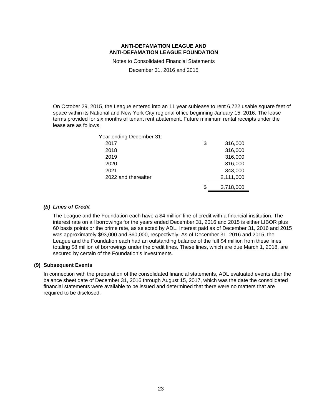Notes to Consolidated Financial Statements

December 31, 2016 and 2015

On October 29, 2015, the League entered into an 11 year sublease to rent 6,722 usable square feet of space within its National and New York City regional office beginning January 15, 2016. The lease terms provided for six months of tenant rent abatement. Future minimum rental receipts under the lease are as follows:

| Year ending December 31: |    |           |
|--------------------------|----|-----------|
| 2017                     | \$ | 316,000   |
| 2018                     |    | 316,000   |
| 2019                     |    | 316,000   |
| 2020                     |    | 316,000   |
| 2021                     |    | 343,000   |
| 2022 and thereafter      |    | 2,111,000 |
|                          | ß. | 3,718,000 |

#### *(b) Lines of Credit*

The League and the Foundation each have a \$4 million line of credit with a financial institution. The interest rate on all borrowings for the years ended December 31, 2016 and 2015 is either LIBOR plus 60 basis points or the prime rate, as selected by ADL. Interest paid as of December 31, 2016 and 2015 was approximately \$93,000 and \$60,000, respectively. As of December 31, 2016 and 2015, the League and the Foundation each had an outstanding balance of the full \$4 million from these lines totaling \$8 million of borrowings under the credit lines. These lines, which are due March 1, 2018, are secured by certain of the Foundation's investments.

### **(9) Subsequent Events**

In connection with the preparation of the consolidated financial statements, ADL evaluated events after the balance sheet date of December 31, 2016 through August 15, 2017, which was the date the consolidated financial statements were available to be issued and determined that there were no matters that are required to be disclosed.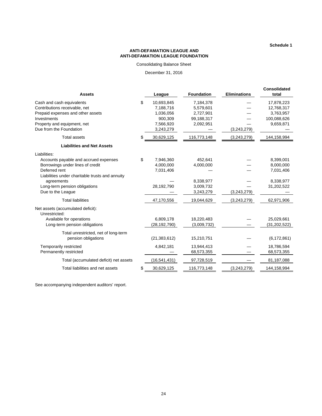**Schedule 1**

#### **ANTI-DEFAMATION LEAGUE AND ANTI-DEFAMATION LEAGUE FOUNDATION**

Consolidating Balance Sheet

December 31, 2016

| <b>Assets</b>                                      |    | League         | <b>Foundation</b> | <b>Eliminations</b> | <b>Consolidated</b><br>total |
|----------------------------------------------------|----|----------------|-------------------|---------------------|------------------------------|
| Cash and cash equivalents                          | \$ | 10,693,845     | 7,184,378         |                     | 17,878,223                   |
| Contributions receivable, net                      |    | 7,188,716      | 5,579,601         |                     | 12,768,317                   |
| Prepaid expenses and other assets                  |    | 1,036,056      | 2,727,901         |                     | 3,763,957                    |
| Investments                                        |    | 900.309        | 99,188,317        |                     | 100,088,626                  |
| Property and equipment, net                        |    | 7,566,920      | 2,092,951         |                     | 9,659,871                    |
| Due from the Foundation                            |    | 3,243,279      |                   | (3,243,279)         |                              |
| <b>Total assets</b>                                |    | 30,629,125     | 116,773,148       | (3,243,279)         | 144,158,994                  |
| <b>Liabilities and Net Assets</b>                  |    |                |                   |                     |                              |
| Liabilities:                                       |    |                |                   |                     |                              |
| Accounts payable and accrued expenses              | \$ | 7,946,360      | 452.641           |                     | 8,399,001                    |
| Borrowings under lines of credit                   |    | 4,000,000      | 4,000,000         |                     | 8,000,000                    |
| Deferred rent                                      |    | 7,031,406      |                   |                     | 7,031,406                    |
| Liabilities under charitable trusts and annuity    |    |                |                   |                     |                              |
| agreements                                         |    |                | 8,338,977         |                     | 8,338,977                    |
| Long-term pension obligations                      |    | 28,192,790     | 3,009,732         |                     | 31,202,522                   |
| Due to the League                                  |    |                | 3,243,279         | (3,243,279)         |                              |
| <b>Total liabilities</b>                           |    | 47,170,556     | 19,044,629        | (3,243,279)         | 62,971,906                   |
| Net assets (accumulated deficit):<br>Unrestricted: |    |                |                   |                     |                              |
| Available for operations                           |    | 6,809,178      | 18,220,483        |                     | 25,029,661                   |
| Long-term pension obligations                      |    | (28, 192, 790) | (3,009,732)       |                     | (31, 202, 522)               |
| Total unrestricted, net of long-term               |    |                |                   |                     |                              |
| pension obligations                                |    | (21, 383, 612) | 15,210,751        |                     | (6, 172, 861)                |
| Temporarily restricted                             |    | 4,842,181      | 13,944,413        |                     | 18,786,594                   |
| Permanently restricted                             |    |                | 68,573,355        |                     | 68,573,355                   |
| Total (accumulated deficit) net assets             |    | (16, 541, 431) | 97,728,519        |                     | 81,187,088                   |
| Total liabilities and net assets                   | \$ | 30,629,125     | 116,773,148       | (3,243,279)         | 144,158,994                  |

See accompanying independent auditors' report.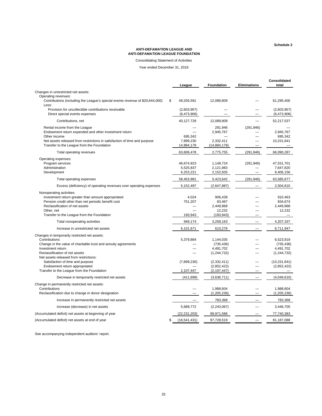**Schedule 2**

#### **ANTI-DEFAMATION LEAGUE AND ANTI-DEFAMATION LEAGUE FOUNDATION**

Consolidating Statement of Activities

Year ended December 31, 2016

|                                                                                                                                                                                                                                                                      | League                                 | <b>Foundation</b>                                                   | <b>Eliminations</b> | Consolidated<br>total                                  |
|----------------------------------------------------------------------------------------------------------------------------------------------------------------------------------------------------------------------------------------------------------------------|----------------------------------------|---------------------------------------------------------------------|---------------------|--------------------------------------------------------|
| Changes in unrestricted net assets:                                                                                                                                                                                                                                  |                                        |                                                                     |                     |                                                        |
| Operating revenues:<br>Contributions (including the League's special events revenue of \$20,644,000)<br>Less:                                                                                                                                                        | \$<br>49,205,591                       | 12,089,809                                                          |                     | 61,295,400                                             |
| Provision for uncollectible contributions receivable<br>Direct special events expenses                                                                                                                                                                               | (2,603,957)<br>(6,473,906)             |                                                                     |                     | (2,603,957)<br>(6,473,906)                             |
| Contributions, net                                                                                                                                                                                                                                                   | 40,127,728                             | 12,089,809                                                          |                     | 52,217,537                                             |
| Rental income from the League<br>Endowment return expended and other investment return<br>Other income<br>Net assets released from restrictions in satisfaction of time and purpose<br>Transfer to the League from the Foundation                                    | 695.342<br>7,899,230<br>14,884,178     | 291,946<br>2,945,767<br>2,332,411<br>(14, 884, 178)                 | (291, 946)          | 2,945,767<br>695,342<br>10,231,641                     |
| Total operating revenues                                                                                                                                                                                                                                             | 63,606,478                             | 2,775,755                                                           | (291, 946)          | 66,090,287                                             |
| Operating expenses:<br>Program services<br>Administration<br>Development                                                                                                                                                                                             | 46,674,923<br>5,525,837<br>6,253,221   | 1,148,724<br>2,121,983<br>2,152,935                                 | (291, 946)          | 47,531,701<br>7,647,820<br>8,406,156                   |
| Total operating expenses                                                                                                                                                                                                                                             | 58,453,981                             | 5,423,642                                                           | (291, 946)          | 63,585,677                                             |
| Excess (deficiency) of operating revenues over operating expenses                                                                                                                                                                                                    | 5,152,497                              | (2,647,887)                                                         |                     | 2,504,610                                              |
| Nonoperating activities:<br>Investment return greater than amount appropriated<br>Pension credit other than net periodic benefit cost<br>Reclassification of net assets<br>Other, net<br>Transfer to the League from the Foundation<br>Total nonoperating activities | 4,024<br>751,207<br>193,943<br>949,174 | 906,439<br>83,467<br>2,449,968<br>12,232<br>(193, 943)<br>3,258,163 |                     | 910,463<br>834,674<br>2,449,968<br>12,232<br>4,207,337 |
| Increase in unrestricted net assets                                                                                                                                                                                                                                  | 6,101,671                              | 610,276                                                             |                     | 6,711,947                                              |
| Changes in temporarily restricted net assets:<br>Contributions<br>Change in the value of charitable trust and annuity agreements<br>Investment return<br>Reclassification of net assets<br>Net assets released from restrictions:                                    | 5,379,884                              | 1,144,035<br>(735, 436)<br>4,491,702<br>(1, 244, 732)               |                     | 6,523,919<br>(735, 436)<br>4,491,702<br>(1, 244, 732)  |
| Satisfaction of time and purpose<br>Endowment return appropriated                                                                                                                                                                                                    | (7,899,230)                            | (2, 332, 411)<br>(2,852,422)                                        |                     | (10, 231, 641)<br>(2,852,422)                          |
| Transfer to the League from the Foundation                                                                                                                                                                                                                           | 2,107,447                              | (2, 107, 447)                                                       |                     |                                                        |
| Decrease in temporarily restricted net assets                                                                                                                                                                                                                        | (411, 899)                             | (3,636,711)                                                         |                     | (4,048,610)                                            |
| Change in permanently restricted net assets:<br>Contributions<br>Reclassification due to change in donor designation                                                                                                                                                 |                                        | 1,988,604<br>(1, 205, 236)                                          |                     | 1,988,604<br>(1, 205, 236)                             |
| Increase in permanently restricted net assets                                                                                                                                                                                                                        |                                        | 783,368                                                             |                     | 783,368                                                |
| Increase (decrease) in net assets                                                                                                                                                                                                                                    | 5,689,772                              | (2, 243, 067)                                                       |                     | 3,446,705                                              |
| (Accumulated deficit) net assets at beginning of year                                                                                                                                                                                                                | (22,231,203)                           | 99,971,586                                                          |                     | 77,740,383                                             |
| (Accumulated deficit) net assets at end of year                                                                                                                                                                                                                      | \$<br>(16, 541, 431)                   | 97,728,519                                                          |                     | 81,187,088                                             |

See accompanying independent auditors' report.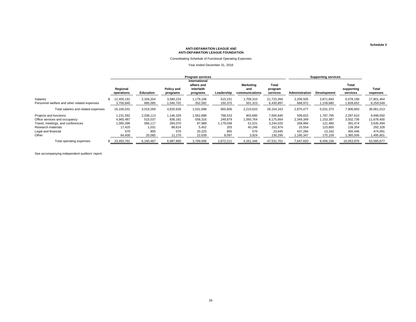#### Consolidating Schedule of Functional Operating Expenses

Year ended December 31, 2016

|                                              | <b>Program services</b> |                  |                        |                                                        |            |                                    |                              | <b>Supporting services</b> |             |                                 |                   |
|----------------------------------------------|-------------------------|------------------|------------------------|--------------------------------------------------------|------------|------------------------------------|------------------------------|----------------------------|-------------|---------------------------------|-------------------|
|                                              | Regional<br>operations  | <b>Education</b> | Policy and<br>programs | International<br>affairs and<br>interfaith<br>programs | Leadership | Marketing<br>and<br>communications | Total<br>program<br>services | Administration             | Development | Total<br>supporting<br>services | Total<br>expenses |
| Salaries                                     | 12.405.191              | 2.334.204        | 3,580,224              | 1,179,106                                              | 515,231    | 1,709,310                          | 21,723,266                   | 2,206,505                  | 3,871,693   | 6,078,198                       | 27.801.464        |
| Personnel welfare and other related expenses | 3,700,840               | 685,065          | 1,040,702              | 352,592                                                | 150,375    | 501,323                            | 6,430,897                    | 668,972                    | 1,159,680   | 1,828,652                       | 8,259,549         |
| Total salaries and related expenses          | 16,106,031              | 3,019,269        | 4,620,926              | 1,531,698                                              | 665,606    | 2,210,633                          | 28,154,163                   | 2,875,477                  | 5,031,373   | 7,906,850                       | 36,061,013        |
| Projects and functions                       | 1,231,592               | 2,038,113        | ,146,329               | 1,562,688                                              | 768,533    | 903,685                            | 7,650,940                    | 509,815                    | 1,787,795   | 2,297,610                       | 9,948,550         |
| Office services and occupancy                | 4.965.487               | 515,037          | 836.181                | 558,316                                                | 249,879    | 1,050,764                          | 8,175,664                    | 2,349,349                  | 1,153,387   | 3,502,736                       | 11,678,400        |
| Travel, meetings, and conferences            | 1,065,286               | 566,117          | 284.070                | 97,988                                                 | 1,179,038  | 51,521                             | 3,244,020                    | 269.994                    | 121.480     | 391.474                         | 3,635,494         |
| Research materials                           | 17.425                  | 1,031            | 88,614                 | 5,452                                                  | 203        | 40,249                             | 152,974                      | 15,554                     | 123,800     | 139,354                         | 292,328           |
| Legal and financial                          | 570                     | 855              | 570                    | 20,225                                                 | 855        | 570                                | 23,645                       | 437.284                    | 13,162      | 450,446                         | 474,091           |
| Other                                        | 64,400                  | 20,065           | 11.170                 | 22,639                                                 | 8,097      | 3,924                              | 130,295                      | 1,190,347                  | 175,159     | 1,365,506                       | 1,495,801         |
| Total operating expenses                     | 23.450.791              | 6.160.487        | 6,987,860              | 3.799.006                                              | 2.872.211  | 4,261,346                          | 47.531.701                   | 7.647.820                  | 8.406.156   | 16.053.976                      | 63.585.677        |

See accompanying independent auditors' report.

**Schedule 3**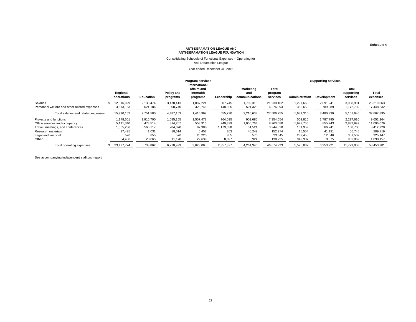#### Consolidating Schedule of Functional Expenses – Operating for Anti-Defamation League

Year ended December 31, 2016

|                                                                                                                                           | <b>Program services</b>                              |                                                 |                                                  |                                                        |                                               |                                                 |                                                          | <b>Supporting services</b>                           |                                                   |                                                        |                                                            |
|-------------------------------------------------------------------------------------------------------------------------------------------|------------------------------------------------------|-------------------------------------------------|--------------------------------------------------|--------------------------------------------------------|-----------------------------------------------|-------------------------------------------------|----------------------------------------------------------|------------------------------------------------------|---------------------------------------------------|--------------------------------------------------------|------------------------------------------------------------|
|                                                                                                                                           | Regional<br>operations                               | <b>Education</b>                                | Policy and<br>programs                           | International<br>affairs and<br>interfaith<br>programs | Leadership                                    | Marketing<br>and<br>communications              | Total<br>program<br>services                             | <b>Administration</b>                                | <b>Development</b>                                | Total<br>supporting<br>services                        | Total<br>expenses                                          |
| Salaries<br>Personnel welfare and other related expenses                                                                                  | 12.316.999<br>3,673,153                              | 2.130.474<br>621,106                            | 3.478.413<br>1,008,740                           | 1,087,221<br>323,746                                   | 507,745<br>148,025                            | 1,709,310<br>501,323                            | 21,230,162<br>6,276,093                                  | 1,297,660<br>383,650                                 | 2,691,241<br>789,089                              | 3,988,901<br>1,172,739                                 | 25,219,063<br>7,448,832                                    |
| Total salaries and related expenses                                                                                                       | 15,990,152                                           | 2,751,580                                       | 4,487,153                                        | 1,410,967                                              | 655,770                                       | 2,210,633                                       | 27,506,255                                               | 1,681,310                                            | 3,480,330                                         | 5,161,640                                              | 32,667,895                                                 |
| Projects and functions<br>Office services and occupancy<br>Travel, meetings, and conferences<br>Research materials<br>Legal and financial | 1,178,601<br>5,111,340<br>1,065,286<br>17,425<br>570 | 1,915,700<br>478,514<br>566,117<br>1,031<br>855 | 1,085,155<br>814,267<br>284,070<br>88,614<br>570 | 1,507,478<br>558,316<br>97,988<br>5,452<br>20,225      | 764,035<br>249,879<br>1,179,038<br>203<br>855 | 903,685<br>1,050,764<br>51,521<br>40,249<br>570 | 7,354,654<br>8,263,080<br>3,244,020<br>152,974<br>23,645 | 509,815<br>1,977,756<br>101,959<br>15,554<br>289,456 | ,787,795<br>855,243<br>66,741<br>41,191<br>12,046 | 2,297,610<br>2,832,999<br>168,700<br>56,745<br>301,502 | 9,652,264<br>11,096,079<br>3,412,720<br>209,719<br>325,147 |
| Other                                                                                                                                     | 64,400                                               | 20,065                                          | 11,170                                           | 22,639                                                 | 8,097                                         | 3,924                                           | 130,295                                                  | 949,987                                              | 9,875                                             | 959,862                                                | 1,090,157                                                  |
| Total operating expenses                                                                                                                  | 23,427,774                                           | 5,733,862                                       | 6.770.999                                        | 3,623,065                                              | 2.857.877                                     | 4,261,346                                       | 46.674.923                                               | 5.525.837                                            | 6,253,221                                         | 11,779,058                                             | 58.453.981                                                 |

See accompanying independent auditors' report.

**Schedule 4**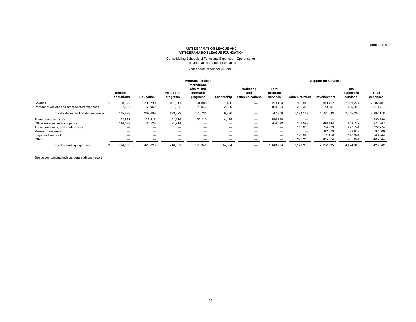# Consolidating Schedule of Functional Expenses – Operating for Anti-Defamation League Foundation

Year ended December 31, 2016

|                                              | <b>Program services</b> |                  |                        |                                                        |            |                                    |                              | <b>Supporting services</b> |                    |                                 |                   |
|----------------------------------------------|-------------------------|------------------|------------------------|--------------------------------------------------------|------------|------------------------------------|------------------------------|----------------------------|--------------------|---------------------------------|-------------------|
|                                              | Regional<br>operations  | <b>Education</b> | Policy and<br>programs | International<br>affairs and<br>interfaith<br>programs | Leadership | Marketing<br>and<br>communications | Total<br>program<br>services | Administration             | <b>Development</b> | Total<br>supporting<br>services | Total<br>expenses |
| Salaries                                     | 88.192                  | 203,730          | 101.811                | 91,885                                                 | 7.486      | —                                  | 493,104                      | 908,845                    | ,180,452           | 2,089,297                       | 2,582,401         |
| Personnel welfare and other related expenses | 27,687                  | 63,959           | 31,962                 | 28,846                                                 | 2,350      | –                                  | 154,804                      | 285,322                    | 370,591            | 655,913                         | 810,717           |
| Total salaries and related expenses          | 115,879                 | 267,689          | 133,773                | 120,731                                                | 9,836      |                                    | 647,908                      | 1,194,167                  | 1,551,043          | 2,745,210                       | 3,393,118         |
| Projects and functions                       | 52,991                  | 122,413          | 61,174                 | 55,210                                                 | 4,498      | $\overline{\phantom{m}}$           | 296,286                      | –                          |                    | $\hspace{0.05cm}$               | 296,286           |
| Office services and occupancy                | 146,093                 | 36,523           | 21,914                 | –                                                      | –          |                                    | 204,530                      | 371.593                    | 298.144            | 669,737                         | 874,267           |
| Travel, meetings, and conferences            |                         |                  |                        |                                                        |            |                                    | —                            | 168,035                    | 54,739             | 222,774                         | 222,774           |
| Research materials                           |                         | —                |                        | —                                                      | —          |                                    | —                            | –                          | 82,609             | 82,609                          | 82,609            |
| Legal and financial                          | —                       |                  |                        | —                                                      |            |                                    | $\overline{\phantom{m}}$     | 147,828                    | 1,116              | 148,944                         | 148,944           |
| Other                                        |                         |                  |                        |                                                        |            |                                    | —                            | 240,360                    | 165,284            | 405,644                         | 405,644           |
| Total operating expenses                     | 314,963                 | 426,625          | 216,861                | 175,941                                                | 14,334     |                                    | 1,148,724                    | 2,121,983                  | 2,152,935          | 4,274,918                       | 5,423,642         |

See accompanying independent auditors' report.

**Schedule 5**